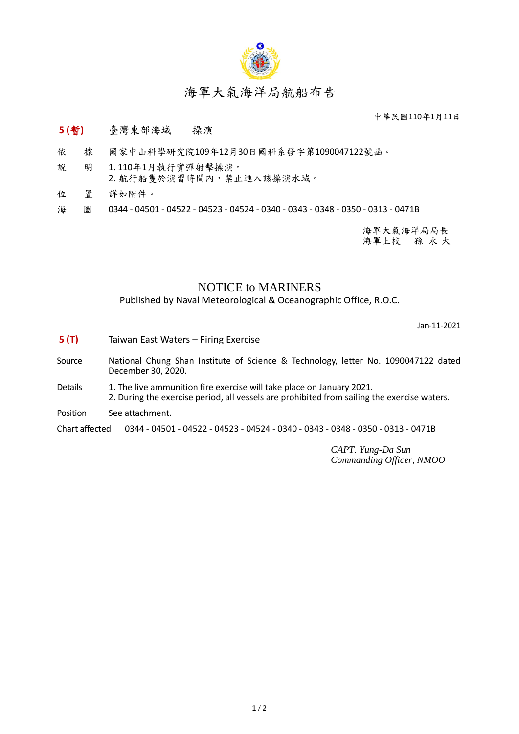

## 中華民國110年1月11日

## **5 (**暫**)** 臺灣東部海域 - 操演

- 依 據 國家中山科學研究院109年12月30日國科系發字第1090047122號函。
- 說 明 1. 110年1月執行實彈射擊操演。 2. 航行船隻於演習時間內,禁止進入該操演水域。
- 位 置 詳如附件。
- 海 圖 0344 04501 04522 04523 04524 0340 0343 0348 0350 0313 0471B

海軍大氣海洋局局長 海軍上校 孫 永 大

## NOTICE to MARINERS

Published by Naval Meteorological & Oceanographic Office, R.O.C.

Jan-11-2021

- **5 (T)** Taiwan East Waters Firing Exercise
- Source National Chung Shan Institute of Science & Technology, letter No. 1090047122 dated December 30, 2020.
- Details 1. The live ammunition fire exercise will take place on January 2021. 2. During the exercise period, all vessels are prohibited from sailing the exercise waters.
- Position See attachment.

Chart affected 0344 - 04501 - 04522 - 04523 - 04524 - 0340 - 0343 - 0348 - 0350 - 0313 - 0471B

*CAPT. Yung-Da Sun Commanding Officer, NMOO*